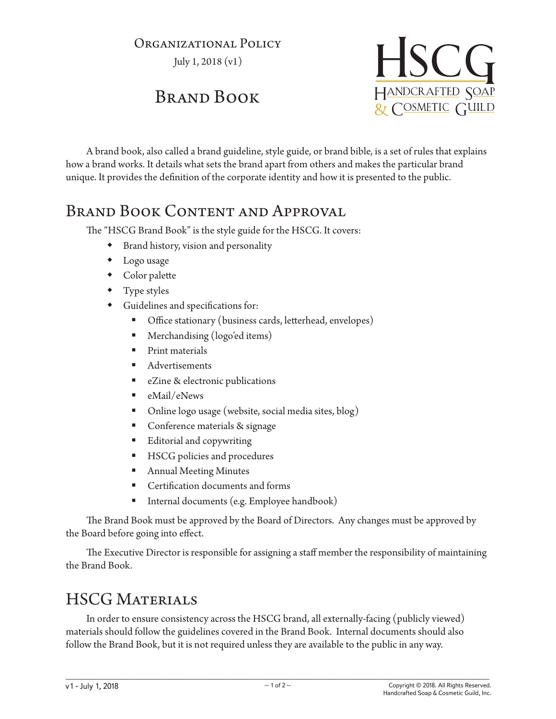## Organizational Policy

July 1, 2018 (v1)

## Brand Book



A brand book, also called a brand guideline, style guide, or brand bible, is a set of rules that explains how a brand works. It details what sets the brand apart from others and makes the particular brand unique. It provides the definition of the corporate identity and how it is presented to the public.

## BRAND BOOK CONTENT AND APPROVAL

The "HSCG Brand Book" is the style guide for the HSCG. It covers:

- Brand history, vision and personality
- Logo usage
- Color palette
- Type styles
- Guidelines and specifications for:
	- Office stationary (business cards, letterhead, envelopes)
	- **Merchandising (logo'ed items)**
	- Print materials
	- Advertisements
	- **EXILLE 8** electronic publications
	- eMail/eNews
	- Online logo usage (website, social media sites, blog)
	- Conference materials & signage
	- **Editorial and copywriting**
	- HSCG policies and procedures
	- Annual Meeting Minutes
	- **Certification documents and forms**
	- Internal documents (e.g. Employee handbook)

The Brand Book must be approved by the Board of Directors. Any changes must be approved by the Board before going into effect.

The Executive Director is responsible for assigning a staff member the responsibility of maintaining the Brand Book.

## HSCG Materials

In order to ensure consistency across the HSCG brand, all externally-facing (publicly viewed) materials should follow the guidelines covered in the Brand Book. Internal documents should also follow the Brand Book, but it is not required unless they are available to the public in any way.